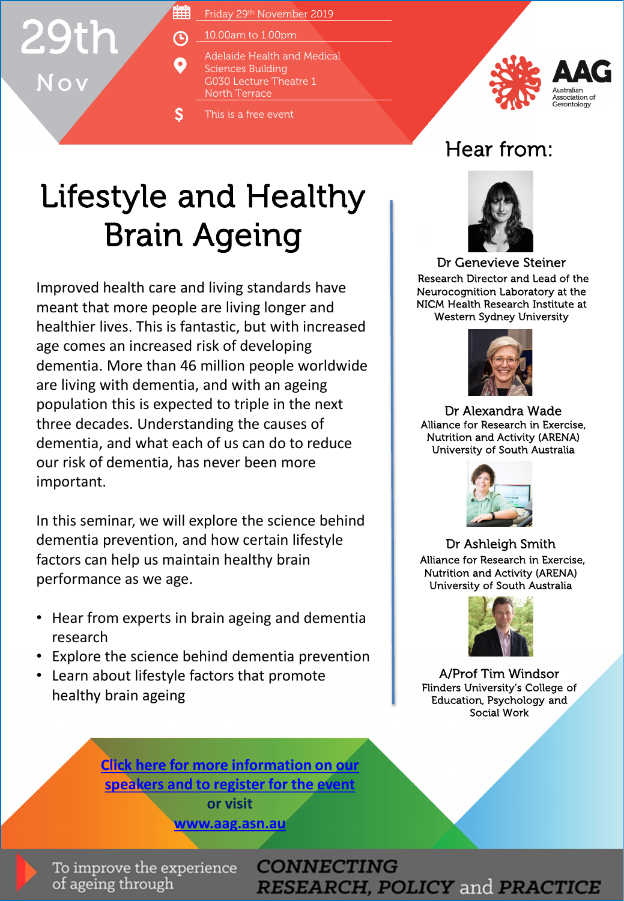## 29th Nov

- 雦 Friday 29th November 2019
- 10.00am to 1.00pm 闲
	- Adelaide Health and Medical Sciences Building G030 Lecture Theatre 1 North Terrace
	- This is a free event



## Hear from:

## Lifestyle and Healthy Brain Ageing

O

S

Improved health care and living standards have meant that more people are living longer and healthier lives. This is fantastic, but with increased age comes an increased risk of developing dementia. More than 46 million people worldwide are living with dementia, and with an ageing population this is expected to triple in the next three decades. Understanding the causes of dementia, and what each of us can do to reduce our risk of dementia, has never been more important.

In this seminar, we will explore the science behind dementia prevention, and how certain lifestyle factors can help us maintain healthy brain performance as we age.

- Hear from experts in brain ageing and dementia research
- Explore the science behind dementia prevention
- Learn about lifestyle factors that promote healthy brain ageing

**[Click here for more information on our](http://www.aag.asn.au/events/event/lifestyle-and-healthy-brain-ageing-2) speakers and to register for the event or visit**

**[www.aag.asn.au](http://www.aag.asn.au/)**

To improve the experience of ageing through

**CONNECTING RESEARCH, POLICY and PRACTICE** 



Dr Genevieve Steiner Research Director and Lead of the Neurocognition Laboratory at the NICM Health Research Institute at Western Sydney University



Dr Alexandra Wade Alliance for Research in Exercise, Nutrition and Activity (ARENA) University of South Australia



Dr Ashleigh Smith Alliance for Research in Exercise, Nutrition and Activity (ARENA) University of South Australia



A/Prof Tim Windsor Flinders University's College of Education, Psychology and Social Work